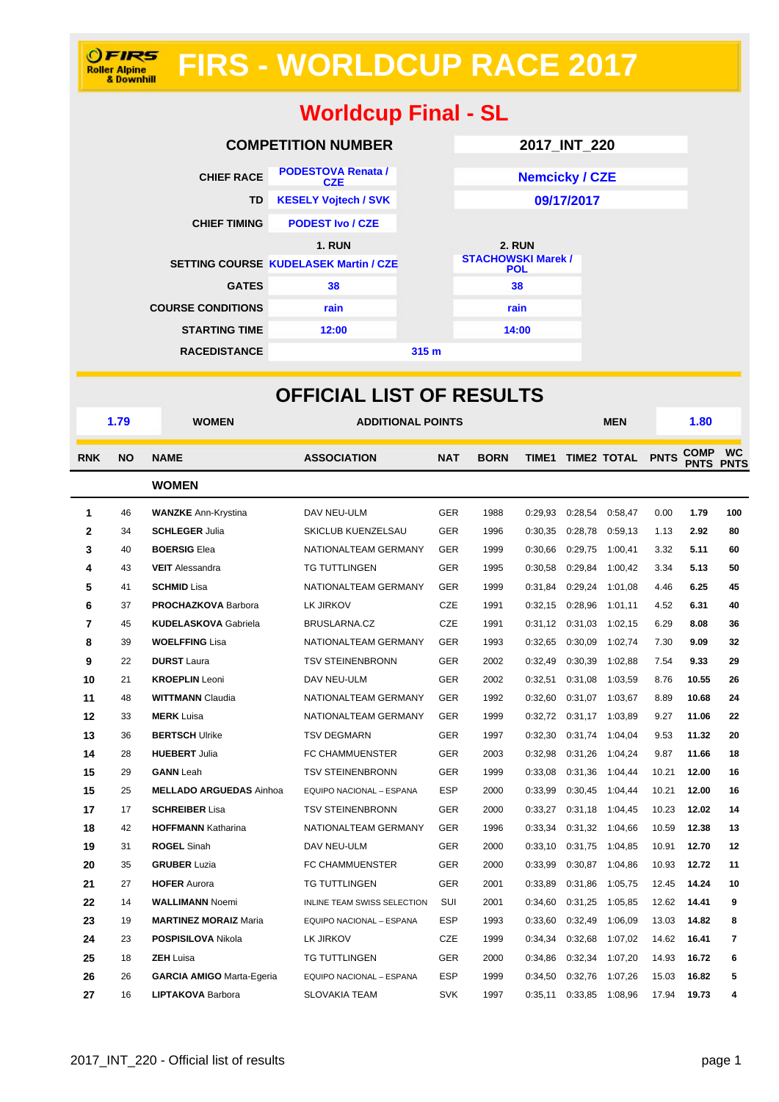# **FIRS - WORLDCUP RACE 2017**

## **Worldcup Final - SL**

|                          | <b>COMPETITION NUMBER</b>                    |                  | 2017_INT_220                            |  |  |  |  |
|--------------------------|----------------------------------------------|------------------|-----------------------------------------|--|--|--|--|
| <b>CHIEF RACE</b>        | <b>PODESTOVA Renata /</b><br><b>CZE</b>      |                  | <b>Nemcicky / CZE</b>                   |  |  |  |  |
| TD                       | <b>KESELY Vojtech / SVK</b>                  |                  | 09/17/2017                              |  |  |  |  |
| <b>CHIEF TIMING</b>      | <b>PODEST Ivo / CZE</b>                      |                  |                                         |  |  |  |  |
|                          | <b>1. RUN</b>                                |                  | <b>2. RUN</b>                           |  |  |  |  |
|                          | <b>SETTING COURSE KUDELASEK Martin / CZE</b> |                  | <b>STACHOWSKI Marek /</b><br><b>POL</b> |  |  |  |  |
| <b>GATES</b>             | 38                                           |                  | 38                                      |  |  |  |  |
| <b>COURSE CONDITIONS</b> | rain                                         |                  | rain                                    |  |  |  |  |
| <b>STARTING TIME</b>     | 12:00                                        |                  | 14:00                                   |  |  |  |  |
| <b>RACEDISTANCE</b>      |                                              | 315 <sub>m</sub> |                                         |  |  |  |  |

|              | <b>OFFICIAL LIST OF RESULTS</b> |                                  |                                    |            |             |         |         |                        |       |                            |                          |
|--------------|---------------------------------|----------------------------------|------------------------------------|------------|-------------|---------|---------|------------------------|-------|----------------------------|--------------------------|
|              | 1.79                            | <b>WOMEN</b>                     | <b>ADDITIONAL POINTS</b>           |            |             |         |         | <b>MEN</b>             |       | 1.80                       |                          |
| <b>RNK</b>   | <b>NO</b>                       | <b>NAME</b>                      | <b>ASSOCIATION</b>                 | <b>NAT</b> | <b>BORN</b> |         |         | TIME1 TIME2 TOTAL PNTS |       | <b>COMP</b><br><b>PNTS</b> | <b>WC</b><br><b>PNTS</b> |
| <b>WOMEN</b> |                                 |                                  |                                    |            |             |         |         |                        |       |                            |                          |
| 1            | 46                              | <b>WANZKE</b> Ann-Krystina       | DAV NEU-ULM                        | <b>GER</b> | 1988        | 0:29.93 | 0:28,54 | 0:58,47                | 0.00  | 1.79                       | 100                      |
| 2            | 34                              | <b>SCHLEGER Julia</b>            | SKICLUB KUENZELSAU                 | <b>GER</b> | 1996        | 0:30,35 | 0:28,78 | 0:59,13                | 1.13  | 2.92                       | 80                       |
| 3            | 40                              | <b>BOERSIG Elea</b>              | NATIONALTEAM GERMANY               | <b>GER</b> | 1999        | 0:30,66 | 0:29,75 | 1:00,41                | 3.32  | 5.11                       | 60                       |
| 4            | 43                              | <b>VEIT</b> Alessandra           | <b>TG TUTTLINGEN</b>               | <b>GER</b> | 1995        | 0:30,58 | 0:29,84 | 1:00,42                | 3.34  | 5.13                       | 50                       |
| 5            | 41                              | <b>SCHMID Lisa</b>               | NATIONALTEAM GERMANY               | <b>GER</b> | 1999        | 0:31,84 | 0:29,24 | 1:01.08                | 4.46  | 6.25                       | 45                       |
| 6            | 37                              | <b>PROCHAZKOVA Barbora</b>       | LK JIRKOV                          | <b>CZE</b> | 1991        | 0:32,15 | 0:28,96 | 1:01,11                | 4.52  | 6.31                       | 40                       |
| 7            | 45                              | <b>KUDELASKOVA Gabriela</b>      | BRUSLARNA.CZ                       | <b>CZE</b> | 1991        | 0:31,12 | 0:31,03 | 1:02,15                | 6.29  | 8.08                       | 36                       |
| 8            | 39                              | <b>WOELFFING Lisa</b>            | NATIONALTEAM GERMANY               | <b>GER</b> | 1993        | 0:32,65 | 0:30,09 | 1:02,74                | 7.30  | 9.09                       | 32                       |
| 9            | 22                              | <b>DURST</b> Laura               | <b>TSV STEINENBRONN</b>            | <b>GER</b> | 2002        | 0:32.49 | 0:30,39 | 1:02,88                | 7.54  | 9.33                       | 29                       |
| 10           | 21                              | <b>KROEPLIN</b> Leoni            | DAV NEU-ULM                        | <b>GER</b> | 2002        | 0:32,51 | 0:31,08 | 1:03,59                | 8.76  | 10.55                      | 26                       |
| 11           | 48                              | <b>WITTMANN Claudia</b>          | NATIONALTEAM GERMANY               | <b>GER</b> | 1992        | 0:32,60 | 0:31,07 | 1:03,67                | 8.89  | 10.68                      | 24                       |
| 12           | 33                              | <b>MERK</b> Luisa                | NATIONALTEAM GERMANY               | <b>GER</b> | 1999        | 0:32,72 | 0:31,17 | 1:03,89                | 9.27  | 11.06                      | 22                       |
| 13           | 36                              | <b>BERTSCH Ulrike</b>            | <b>TSV DEGMARN</b>                 | <b>GER</b> | 1997        | 0:32,30 | 0:31,74 | 1:04,04                | 9.53  | 11.32                      | 20                       |
| 14           | 28                              | <b>HUEBERT Julia</b>             | FC CHAMMUENSTER                    | <b>GER</b> | 2003        | 0:32,98 | 0:31,26 | 1:04,24                | 9.87  | 11.66                      | 18                       |
| 15           | 29                              | <b>GANN</b> Leah                 | <b>TSV STEINENBRONN</b>            | <b>GER</b> | 1999        | 0:33,08 | 0:31,36 | 1:04,44                | 10.21 | 12.00                      | 16                       |
| 15           | 25                              | <b>MELLADO ARGUEDAS Ainhoa</b>   | EQUIPO NACIONAL - ESPANA           | <b>ESP</b> | 2000        | 0:33,99 | 0:30,45 | 1:04,44                | 10.21 | 12.00                      | 16                       |
| 17           | 17                              | <b>SCHREIBER Lisa</b>            | <b>TSV STEINENBRONN</b>            | <b>GER</b> | 2000        | 0:33,27 | 0:31,18 | 1:04,45                | 10.23 | 12.02                      | 14                       |
| 18           | 42                              | <b>HOFFMANN Katharina</b>        | NATIONALTEAM GERMANY               | <b>GER</b> | 1996        | 0:33.34 | 0:31,32 | 1:04,66                | 10.59 | 12.38                      | 13                       |
| 19           | 31                              | <b>ROGEL Sinah</b>               | DAV NEU-ULM                        | <b>GER</b> | 2000        | 0:33,10 | 0:31,75 | 1:04,85                | 10.91 | 12.70                      | 12                       |
| 20           | 35                              | <b>GRUBER Luzia</b>              | FC CHAMMUENSTER                    | <b>GER</b> | 2000        | 0:33,99 | 0:30,87 | 1:04,86                | 10.93 | 12.72                      | 11                       |
| 21           | 27                              | <b>HOFER Aurora</b>              | <b>TG TUTTLINGEN</b>               | <b>GER</b> | 2001        | 0:33,89 | 0:31,86 | 1:05,75                | 12.45 | 14.24                      | 10                       |
| 22           | 14                              | <b>WALLIMANN Noemi</b>           | <b>INLINE TEAM SWISS SELECTION</b> | SUI        | 2001        | 0:34,60 | 0:31,25 | 1:05,85                | 12.62 | 14.41                      | 9                        |
| 23           | 19                              | <b>MARTINEZ MORAIZ Maria</b>     | EQUIPO NACIONAL - ESPANA           | <b>ESP</b> | 1993        | 0:33,60 | 0:32,49 | 1:06,09                | 13.03 | 14.82                      | 8                        |
| 24           | 23                              | <b>POSPISILOVA Nikola</b>        | LK JIRKOV                          | CZE        | 1999        | 0:34,34 | 0:32,68 | 1:07,02                | 14.62 | 16.41                      | $\overline{7}$           |
| 25           | 18                              | <b>ZEH Luisa</b>                 | <b>TG TUTTLINGEN</b>               | <b>GER</b> | 2000        | 0:34,86 | 0:32,34 | 1:07,20                | 14.93 | 16.72                      | 6                        |
| 26           | 26                              | <b>GARCIA AMIGO Marta-Egeria</b> | EQUIPO NACIONAL - ESPANA           | <b>ESP</b> | 1999        | 0:34,50 | 0:32,76 | 1:07,26                | 15.03 | 16.82                      | 5                        |
| 27           | 16                              | <b>LIPTAKOVA Barbora</b>         | SLOVAKIA TEAM                      | <b>SVK</b> | 1997        | 0:35,11 | 0:33,85 | 1:08,96                | 17.94 | 19.73                      | 4                        |

**OFIRS**<br>Roller Alpine<br>& Downhill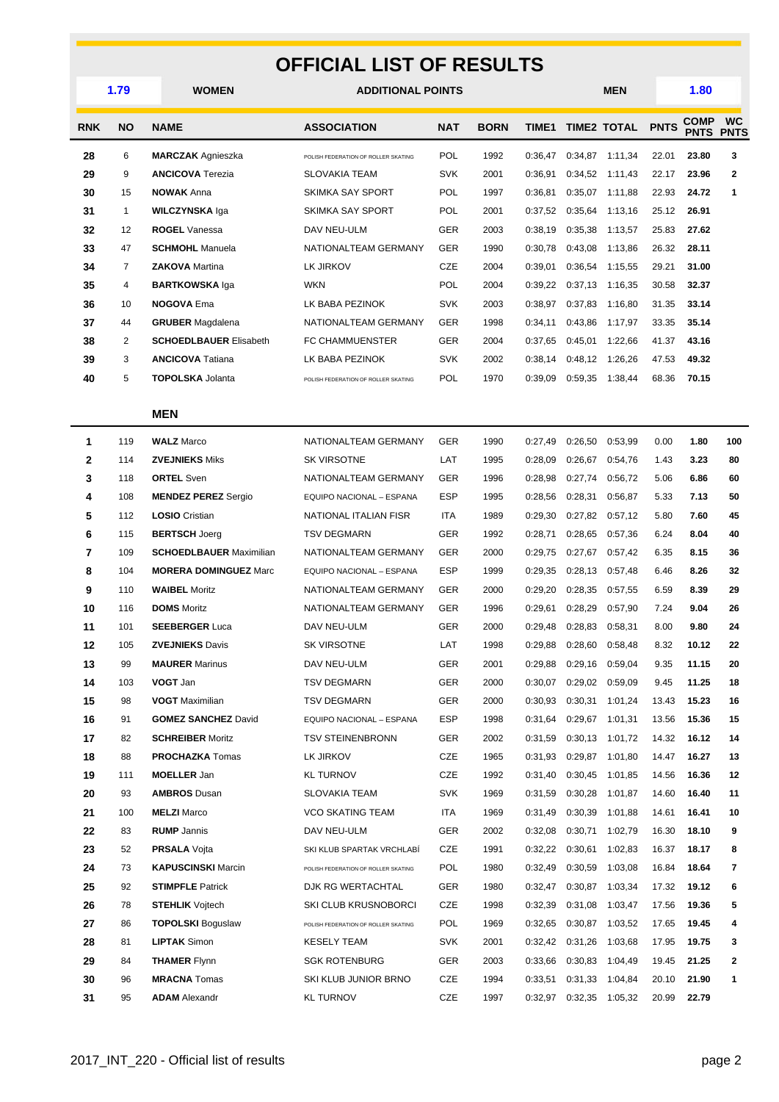#### **OFFICIAL LIST OF RESULTS**

| וטוחב בוטו טו<br>11LJUL I J |                |                                |                                     |            |             |              |         |                    |             |                            |                          |
|-----------------------------|----------------|--------------------------------|-------------------------------------|------------|-------------|--------------|---------|--------------------|-------------|----------------------------|--------------------------|
|                             | 1.79           | <b>WOMEN</b>                   | <b>ADDITIONAL POINTS</b>            |            |             |              |         | MEN                |             | 1.80                       |                          |
| <b>RNK</b>                  | <b>NO</b>      | <b>NAME</b>                    | <b>ASSOCIATION</b>                  | <b>NAT</b> | <b>BORN</b> | <b>TIME1</b> |         | <b>TIME2 TOTAL</b> | <b>PNTS</b> | <b>COMP</b><br><b>PNTS</b> | <b>WC</b><br><b>PNTS</b> |
| 28                          | 6              | <b>MARCZAK</b> Agnieszka       | POLISH FEDERATION OF ROLLER SKATING | POL        | 1992        | 0:36.47      |         | 0:34,87 1:11,34    | 22.01       | 23.80                      | 3                        |
| 29                          | 9              | <b>ANCICOVA</b> Terezia        | <b>SLOVAKIA TEAM</b>                | <b>SVK</b> | 2001        | 0:36,91      | 0:34,52 | 1:11,43            | 22.17       | 23.96                      | $\mathbf{2}$             |
| 30                          | 15             | <b>NOWAK Anna</b>              | SKIMKA SAY SPORT                    | <b>POL</b> | 1997        | 0:36,81      | 0:35,07 | 1:11,88            | 22.93       | 24.72                      | 1                        |
| 31                          | $\mathbf{1}$   | <b>WILCZYNSKA Iga</b>          | SKIMKA SAY SPORT                    | <b>POL</b> | 2001        | 0:37,52      | 0:35,64 | 1:13,16            | 25.12       | 26.91                      |                          |
| 32                          | 12             | <b>ROGEL</b> Vanessa           | DAV NEU-ULM                         | <b>GER</b> | 2003        | 0:38,19      | 0:35,38 | 1:13,57            | 25.83       | 27.62                      |                          |
| 33                          | 47             | <b>SCHMOHL</b> Manuela         | NATIONALTEAM GERMANY                | <b>GER</b> | 1990        | 0:30,78      | 0:43,08 | 1:13,86            | 26.32       | 28.11                      |                          |
| 34                          | $\overline{7}$ | <b>ZAKOVA</b> Martina          | LK JIRKOV                           | <b>CZE</b> | 2004        | 0:39,01      | 0:36,54 | 1:15,55            | 29.21       | 31.00                      |                          |
| 35                          | 4              | <b>BARTKOWSKA Iga</b>          | <b>WKN</b>                          | POL        | 2004        | 0:39,22      | 0:37,13 | 1:16,35            | 30.58       | 32.37                      |                          |
| 36                          | 10             | <b>NOGOVA Ema</b>              | LK BABA PEZINOK                     | <b>SVK</b> | 2003        | 0:38,97      | 0:37,83 | 1:16,80            | 31.35       | 33.14                      |                          |
| 37                          | 44             | <b>GRUBER</b> Magdalena        | NATIONALTEAM GERMANY                | <b>GER</b> | 1998        | 0:34,11      | 0:43,86 | 1:17,97            | 33.35       | 35.14                      |                          |
| 38                          | 2              | <b>SCHOEDLBAUER Elisabeth</b>  | <b>FC CHAMMUENSTER</b>              | GER        | 2004        | 0:37.65      | 0:45,01 | 1:22,66            | 41.37       | 43.16                      |                          |
| 39                          | 3              | <b>ANCICOVA Tatiana</b>        | LK BABA PEZINOK                     | <b>SVK</b> | 2002        | 0:38,14      | 0:48,12 | 1:26,26            | 47.53       | 49.32                      |                          |
| 40                          | 5              | <b>TOPOLSKA Jolanta</b>        | POLISH FEDERATION OF ROLLER SKATING | <b>POL</b> | 1970        | 0:39,09      | 0:59,35 | 1:38,44            | 68.36       | 70.15                      |                          |
|                             |                | <b>MEN</b>                     |                                     |            |             |              |         |                    |             |                            |                          |
| 1                           | 119            | <b>WALZ Marco</b>              | NATIONALTEAM GERMANY                | GER        | 1990        | 0:27.49      | 0:26,50 | 0:53,99            | 0.00        | 1.80                       | 100                      |
| $\mathbf{2}$                | 114            | <b>ZVEJNIEKS Miks</b>          | <b>SK VIRSOTNE</b>                  | LAT        | 1995        | 0:28,09      | 0:26,67 | 0:54,76            | 1.43        | 3.23                       | 80                       |
| 3                           | 118            | <b>ORTEL Sven</b>              | NATIONALTEAM GERMANY                | GER        | 1996        | 0:28,98      | 0:27,74 | 0:56,72            | 5.06        | 6.86                       | 60                       |
| 4                           | 108            | <b>MENDEZ PEREZ Sergio</b>     | EQUIPO NACIONAL - ESPANA            | <b>ESP</b> | 1995        | 0:28,56      | 0:28,31 | 0:56,87            | 5.33        | 7.13                       | 50                       |
| 5                           | 112            | <b>LOSIO</b> Cristian          | NATIONAL ITALIAN FISR               | ITA        | 1989        | 0:29,30      | 0:27,82 | 0:57,12            | 5.80        | 7.60                       | 45                       |
| 6                           | 115            | <b>BERTSCH Joerg</b>           | <b>TSV DEGMARN</b>                  | <b>GER</b> | 1992        | 0:28,71      | 0:28,65 | 0:57,36            | 6.24        | 8.04                       | 40                       |
| 7                           | 109            | <b>SCHOEDLBAUER Maximilian</b> | NATIONALTEAM GERMANY                | <b>GER</b> | 2000        | 0:29,75      | 0:27,67 | 0:57,42            | 6.35        | 8.15                       | 36                       |
| 8                           | 104            | <b>MORERA DOMINGUEZ Marc</b>   | EQUIPO NACIONAL - ESPANA            | <b>ESP</b> | 1999        | 0:29,35      | 0:28,13 | 0:57,48            | 6.46        | 8.26                       | 32                       |
| 9                           | 110            | <b>WAIBEL Moritz</b>           | NATIONALTEAM GERMANY                | <b>GER</b> | 2000        | 0:29,20      | 0:28,35 | 0:57,55            | 6.59        | 8.39                       | 29                       |
| 10                          | 116            | <b>DOMS</b> Moritz             | NATIONALTEAM GERMANY                | <b>GER</b> | 1996        | 0:29.61      | 0:28,29 | 0:57,90            | 7.24        | 9.04                       | 26                       |
| 11                          | 101            | <b>SEEBERGER Luca</b>          | DAV NEU-ULM                         | GER        | 2000        | 0:29,48      | 0:28,83 | 0:58,31            | 8.00        | 9.80                       | 24                       |
| 12                          | 105            | <b>ZVEJNIEKS Davis</b>         | SK VIRSOTNE                         | LAT        | 1998        | 0:29,88      | 0:28,60 | 0:58,48            | 8.32        | 10.12                      | 22                       |
| 13                          | 99             | <b>MAURER Marinus</b>          | DAV NEU-ULM                         | GER        | 2001        | 0:29,88      | 0:29,16 | 0:59,04            | 9.35        | 11.15                      | 20                       |
| 14                          | 103            | VOGT Jan                       | <b>TSV DEGMARN</b>                  | GER        | 2000        | 0:30,07      |         | 0:29,02 0:59,09    | 9.45        | 11.25                      | 18                       |
| 15                          | 98             | <b>VOGT</b> Maximilian         | <b>TSV DEGMARN</b>                  | GER        | 2000        | 0:30,93      |         | 0:30,31 1:01,24    | 13.43       | 15.23                      | 16                       |
| 16                          | 91             | <b>GOMEZ SANCHEZ David</b>     | EQUIPO NACIONAL - ESPANA            | ESP        | 1998        | 0:31,64      |         | 0:29,67 1:01,31    | 13.56       | 15.36                      | 15                       |
| 17                          | 82             | <b>SCHREIBER Moritz</b>        | <b>TSV STEINENBRONN</b>             | GER        | 2002        | 0:31,59      |         | $0:30,13$ 1:01,72  | 14.32       | 16.12                      | 14                       |
| 18                          | 88             | <b>PROCHAZKA</b> Tomas         | LK JIRKOV                           | CZE        | 1965        | 0:31.93      |         | 0:29,87 1:01,80    | 14.47       | 16.27                      | 13                       |
| 19                          | 111            | <b>MOELLER Jan</b>             | <b>KL TURNOV</b>                    | CZE        | 1992        | 0:31,40      |         | 0:30,45 1:01,85    | 14.56       | 16.36                      | 12                       |
| 20                          | 93             | <b>AMBROS Dusan</b>            | <b>SLOVAKIA TEAM</b>                | SVK        | 1969        | 0:31,59      | 0:30,28 | 1:01,87            | 14.60       | 16.40                      | 11                       |
| 21                          | 100            | <b>MELZI</b> Marco             | <b>VCO SKATING TEAM</b>             | ITA        | 1969        | 0:31,49      | 0:30,39 | 1:01,88            | 14.61       | 16.41                      | 10                       |
| 22                          | 83             | <b>RUMP</b> Jannis             | DAV NEU-ULM                         | GER        | 2002        | 0:32,08      | 0:30,71 | 1:02,79            | 16.30       | 18.10                      | 9                        |
| 23                          | 52             | <b>PRSALA</b> Vojta            | SKI KLUB SPARTAK VRCHLABÍ           | CZE        | 1991        | 0:32,22      | 0:30,61 | 1:02,83            | 16.37       | 18.17                      | 8                        |
| 24                          | 73             | <b>KAPUSCINSKI</b> Marcin      | POLISH FEDERATION OF ROLLER SKATING | <b>POL</b> | 1980        | 0:32,49      | 0:30,59 | 1:03,08            | 16.84       | 18.64                      | 7                        |
| 25                          | 92             | <b>STIMPFLE Patrick</b>        | DJK RG WERTACHTAL                   | GER        | 1980        | 0:32,47      |         | 0:30,87 1:03,34    | 17.32       | 19.12                      | 6                        |
| 26                          | 78             | <b>STEHLIK</b> Vojtech         | SKI CLUB KRUSNOBORCI                | CZE        | 1998        | 0:32,39      |         | 0:31,08 1:03,47    | 17.56       | 19.36                      | 5                        |
| 27                          | 86             | <b>TOPOLSKI Boguslaw</b>       | POLISH FEDERATION OF ROLLER SKATING | <b>POL</b> | 1969        | 0:32,65      |         | 0:30,87 1:03,52    | 17.65       | 19.45                      | 4                        |
| 28                          | 81             | <b>LIPTAK Simon</b>            | <b>KESELY TEAM</b>                  | SVK        | 2001        | 0:32,42      |         | 0:31,26 1:03,68    | 17.95       | 19.75                      | 3                        |
| 29                          | 84             | <b>THAMER Flynn</b>            | <b>SGK ROTENBURG</b>                | GER        | 2003        | 0:33,66      |         | 0:30,83 1:04,49    | 19.45       | 21.25                      | 2                        |
| 30                          | 96             | <b>MRACNA</b> Tomas            | SKI KLUB JUNIOR BRNO                | CZE        | 1994        | 0:33,51      |         | 0:31,33 1:04,84    | 20.10       | 21.90                      | 1                        |
| 31                          | 95             | <b>ADAM</b> Alexandr           | <b>KL TURNOV</b>                    | CZE        | 1997        | 0:32,97      |         | 0:32,35 1:05,32    | 20.99       | 22.79                      |                          |
|                             |                |                                |                                     |            |             |              |         |                    |             |                            |                          |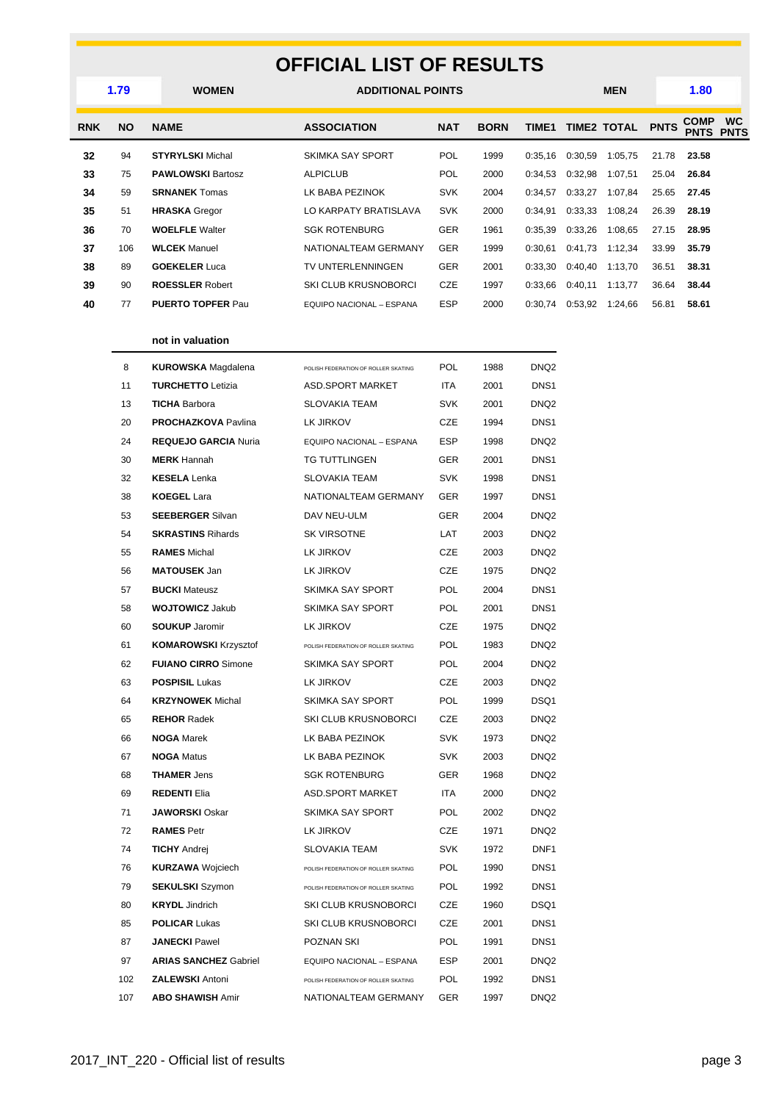#### **OFFICIAL LIST OF RESULTS**

|            | 1.79      | <b>WOMEN</b>              | <b>ADDITIONAL POINTS</b>        |            |             |         |         | <b>MEN</b>         |             | 1.80                       |                          |
|------------|-----------|---------------------------|---------------------------------|------------|-------------|---------|---------|--------------------|-------------|----------------------------|--------------------------|
| <b>RNK</b> | <b>NO</b> | <b>NAME</b>               | <b>ASSOCIATION</b>              | <b>NAT</b> | <b>BORN</b> | TIME1   |         | <b>TIME2 TOTAL</b> | <b>PNTS</b> | <b>COMP</b><br><b>PNTS</b> | <b>WC</b><br><b>PNTS</b> |
| 32         | 94        | <b>STYRYLSKI</b> Michal   | <b>SKIMKA SAY SPORT</b>         | POL        | 1999        | 0:35.16 | 0:30,59 | 1:05,75            | 21.78       | 23.58                      |                          |
| 33         | 75        | <b>PAWLOWSKI Bartosz</b>  | <b>ALPICLUB</b>                 | <b>POL</b> | 2000        | 0:34,53 | 0:32,98 | 1:07,51            | 25.04       | 26.84                      |                          |
| 34         | 59        | <b>SRNANEK Tomas</b>      | LK BABA PEZINOK                 | <b>SVK</b> | 2004        | 0:34.57 | 0:33.27 | 1:07.84            | 25.65       | 27.45                      |                          |
| 35         | 51        | <b>HRASKA</b> Gregor      | LO KARPATY BRATISLAVA           | <b>SVK</b> | 2000        | 0:34.91 | 0:33.33 | 1:08.24            | 26.39       | 28.19                      |                          |
| 36         | 70        | <b>WOELFLE</b> Walter     | <b>SGK ROTENBURG</b>            | <b>GER</b> | 1961        | 0:35.39 | 0:33.26 | 1:08,65            | 27.15       | 28.95                      |                          |
| 37         | 106       | <b>WLCEK</b> Manuel       | NATIONALTEAM GERMANY            | <b>GER</b> | 1999        | 0:30.61 | 0:41,73 | 1:12,34            | 33.99       | 35.79                      |                          |
| 38         | 89        | <b>GOEKELER Luca</b>      | TV UNTERLENNINGEN               | <b>GER</b> | 2001        | 0:33.30 | 0:40.40 | 1:13,70            | 36.51       | 38.31                      |                          |
| 39         | 90        | <b>ROESSLER Robert</b>    | <b>SKI CLUB KRUSNOBORCI</b>     | <b>CZE</b> | 1997        | 0:33,66 | 0:40,11 | 1:13,77            | 36.64       | 38.44                      |                          |
| 40         | 77        | <b>PUERTO TOPFER Paul</b> | <b>EQUIPO NACIONAL - ESPANA</b> | <b>ESP</b> | 2000        | 0:30,74 | 0:53,92 | 1:24,66            | 56.81       | 58.61                      |                          |
|            |           |                           |                                 |            |             |         |         |                    |             |                            |                          |

#### **not in valuation**

| 8   | <b>KUROWSKA</b> Magdalena    | POLISH FEDERATION OF ROLLER SKATING | <b>POL</b> | 1988 | DNQ <sub>2</sub> |
|-----|------------------------------|-------------------------------------|------------|------|------------------|
| 11  | <b>TURCHETTO Letizia</b>     | <b>ASD.SPORT MARKET</b>             | <b>ITA</b> | 2001 | DNS <sub>1</sub> |
| 13  | <b>TICHA Barbora</b>         | <b>SLOVAKIA TEAM</b>                | SVK        | 2001 | DNQ2             |
| 20  | <b>PROCHAZKOVA Pavlina</b>   | LK JIRKOV                           | CZE        | 1994 | DNS <sub>1</sub> |
| 24  | <b>REQUEJO GARCIA Nuria</b>  | EQUIPO NACIONAL - ESPANA            | <b>ESP</b> | 1998 | DNQ <sub>2</sub> |
| 30  | <b>MERK</b> Hannah           | <b>TG TUTTLINGEN</b>                | <b>GER</b> | 2001 | DNS <sub>1</sub> |
| 32  | <b>KESELA Lenka</b>          | <b>SLOVAKIA TEAM</b>                | <b>SVK</b> | 1998 | DNS <sub>1</sub> |
| 38  | <b>KOEGEL Lara</b>           | NATIONALTEAM GERMANY                | <b>GER</b> | 1997 | DNS <sub>1</sub> |
| 53  | <b>SEEBERGER Silvan</b>      | DAV NEU-ULM                         | GER        | 2004 | DNQ2             |
| 54  | <b>SKRASTINS Rihards</b>     | <b>SK VIRSOTNE</b>                  | LAT        | 2003 | DNQ <sub>2</sub> |
| 55  | <b>RAMES</b> Michal          | LK JIRKOV                           | CZE        | 2003 | DNQ2             |
| 56  | <b>MATOUSEK Jan</b>          | LK JIRKOV                           | <b>CZE</b> | 1975 | DNQ <sub>2</sub> |
| 57  | <b>BUCKI</b> Mateusz         | <b>SKIMKA SAY SPORT</b>             | <b>POL</b> | 2004 | DNS <sub>1</sub> |
| 58  | <b>WOJTOWICZ Jakub</b>       | SKIMKA SAY SPORT                    | <b>POL</b> | 2001 | DNS <sub>1</sub> |
| 60  | <b>SOUKUP Jaromir</b>        | LK JIRKOV                           | CZE        | 1975 | DNQ <sub>2</sub> |
| 61  | <b>KOMAROWSKI Krzysztof</b>  | POLISH FEDERATION OF ROLLER SKATING | <b>POL</b> | 1983 | DNQ <sub>2</sub> |
| 62  | <b>FUIANO CIRRO Simone</b>   | SKIMKA SAY SPORT                    | <b>POL</b> | 2004 | DNQ <sub>2</sub> |
| 63  | <b>POSPISIL Lukas</b>        | LK JIRKOV                           | CZE        | 2003 | DNQ <sub>2</sub> |
| 64  | <b>KRZYNOWEK Michal</b>      | SKIMKA SAY SPORT                    | <b>POL</b> | 1999 | DSQ1             |
| 65  | <b>REHOR Radek</b>           | SKI CLUB KRUSNOBORCI                | <b>CZE</b> | 2003 | DNQ <sub>2</sub> |
| 66  | <b>NOGA Marek</b>            | LK BABA PEZINOK                     | SVK        | 1973 | DNQ <sub>2</sub> |
| 67  | <b>NOGA Matus</b>            | LK BABA PEZINOK                     | <b>SVK</b> | 2003 | DNQ <sub>2</sub> |
| 68  | <b>THAMER Jens</b>           | <b>SGK ROTENBURG</b>                | <b>GER</b> | 1968 | DNQ <sub>2</sub> |
| 69  | <b>REDENTI Elia</b>          | <b>ASD.SPORT MARKET</b>             | <b>ITA</b> | 2000 | DNQ <sub>2</sub> |
| 71  | <b>JAWORSKI</b> Oskar        | <b>SKIMKA SAY SPORT</b>             | POL        | 2002 | DNQ <sub>2</sub> |
| 72  | <b>RAMES Petr</b>            | LK JIRKOV                           | CZE        | 1971 | DNQ <sub>2</sub> |
| 74  | <b>TICHY</b> Andrej          | <b>SLOVAKIA TEAM</b>                | SVK        | 1972 | DNF <sub>1</sub> |
| 76  | <b>KURZAWA Wojciech</b>      | POLISH FEDERATION OF ROLLER SKATING | <b>POL</b> | 1990 | DNS <sub>1</sub> |
| 79  | <b>SEKULSKI</b> Szymon       | POLISH FEDERATION OF ROLLER SKATING | POL        | 1992 | DNS <sub>1</sub> |
| 80  | <b>KRYDL</b> Jindrich        | SKI CLUB KRUSNOBORCI                | CZE        | 1960 | DSQ1             |
| 85  | <b>POLICAR Lukas</b>         | SKI CLUB KRUSNOBORCI                | CZE        | 2001 | DNS <sub>1</sub> |
| 87  | <b>JANECKI Pawel</b>         | POZNAN SKI                          | <b>POL</b> | 1991 | DNS <sub>1</sub> |
| 97  | <b>ARIAS SANCHEZ Gabriel</b> | EQUIPO NACIONAL - ESPANA            | ESP        | 2001 | DNQ <sub>2</sub> |
| 102 | <b>ZALEWSKI Antoni</b>       | POLISH FEDERATION OF ROLLER SKATING | <b>POL</b> | 1992 | DNS <sub>1</sub> |
| 107 | <b>ABO SHAWISH Amir</b>      | NATIONALTEAM GERMANY                | <b>GER</b> | 1997 | DNQ <sub>2</sub> |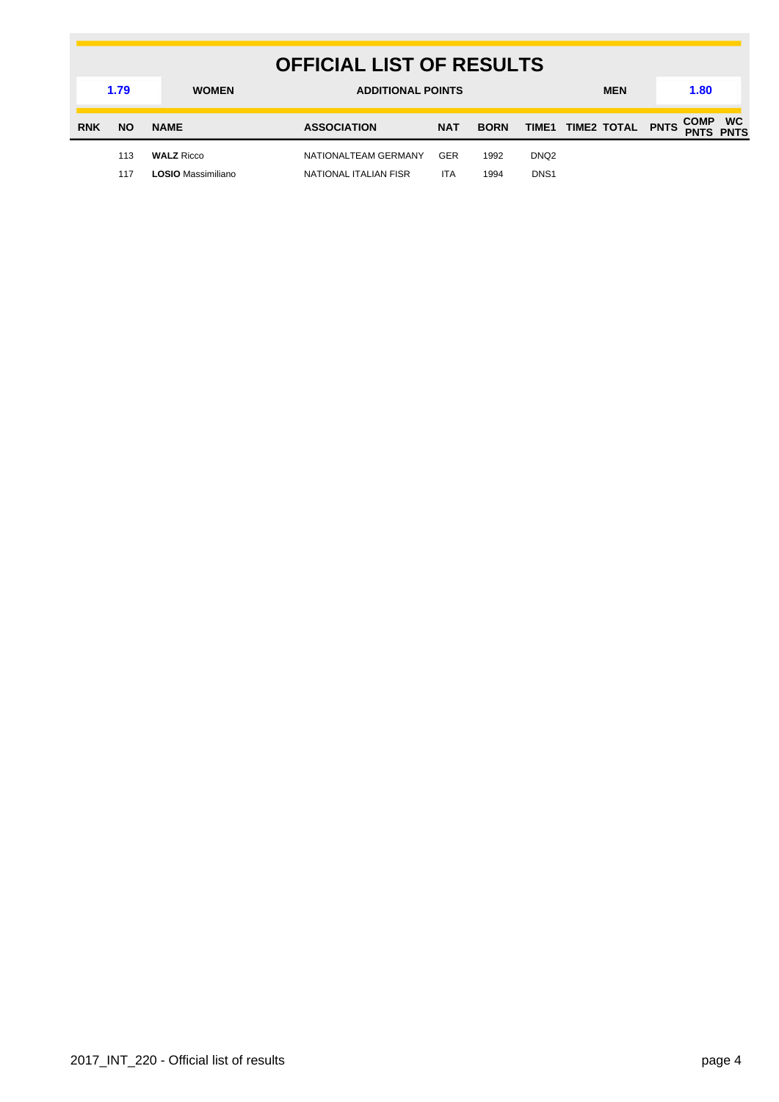|                      | <b>OFFICIAL LIST OF RESULTS</b> |                    |                          |            |             |                  |  |                        |  |             |                          |
|----------------------|---------------------------------|--------------------|--------------------------|------------|-------------|------------------|--|------------------------|--|-------------|--------------------------|
| 1.79<br><b>WOMEN</b> |                                 |                    | <b>ADDITIONAL POINTS</b> |            |             |                  |  | <b>MEN</b>             |  | 1.80        |                          |
| <b>RNK</b>           | <b>NO</b>                       | <b>NAME</b>        | <b>ASSOCIATION</b>       | <b>NAT</b> | <b>BORN</b> |                  |  | TIME1 TIME2 TOTAL PNTS |  | <b>COMP</b> | <b>WC</b><br><b>PNTS</b> |
|                      | 113                             | <b>WALZ Ricco</b>  | NATIONALTEAM GERMANY     | <b>GER</b> | 1992        | DNQ <sub>2</sub> |  |                        |  |             |                          |
|                      | 117                             | LOSIO Massimiliano | NATIONAL ITALIAN FISR    | <b>ITA</b> | 1994        | DNS <sub>1</sub> |  |                        |  |             |                          |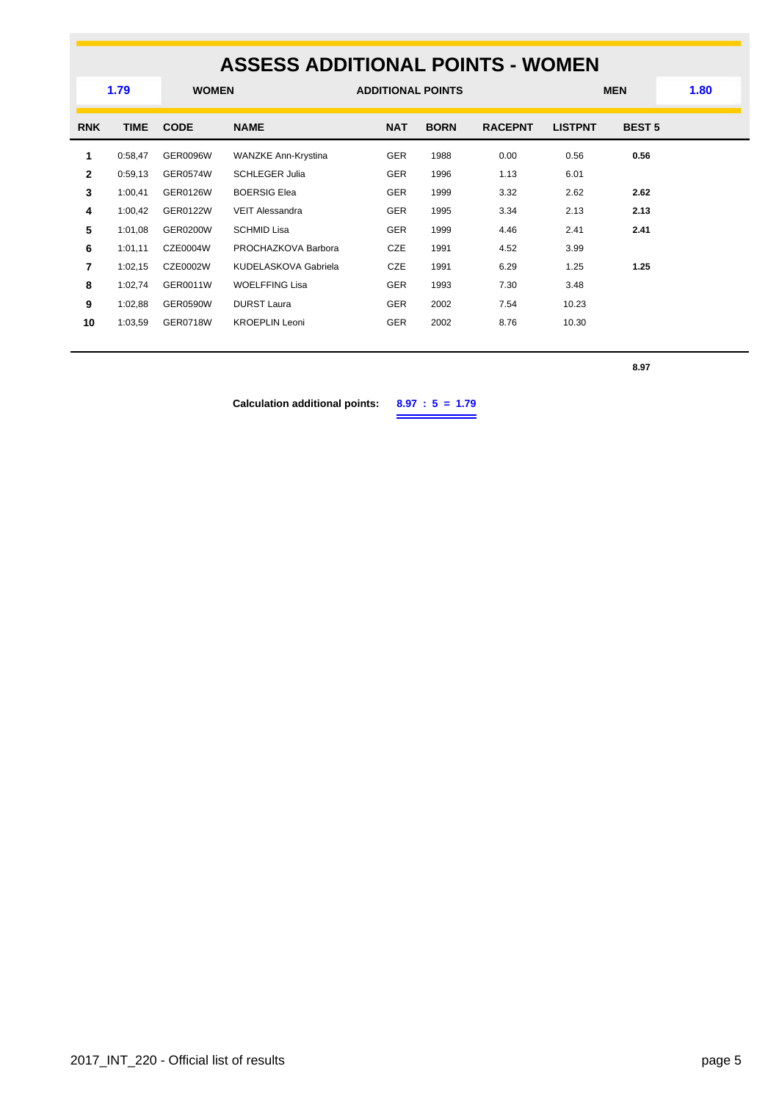### **ASSESS ADDITIONAL POINTS - WOMEN**

|                | 1.79<br><b>WOMEN</b> |                 |                            | <b>ADDITIONAL POINTS</b> |             |                |                | <b>MEN</b>    | 1.80 |
|----------------|----------------------|-----------------|----------------------------|--------------------------|-------------|----------------|----------------|---------------|------|
| <b>RNK</b>     | <b>TIME</b>          | <b>CODE</b>     | <b>NAME</b>                | <b>NAT</b>               | <b>BORN</b> | <b>RACEPNT</b> | <b>LISTPNT</b> | <b>BEST 5</b> |      |
| 1              | 0:58,47              | <b>GER0096W</b> | <b>WANZKE Ann-Krystina</b> | <b>GER</b>               | 1988        | 0.00           | 0.56           | 0.56          |      |
| $\mathbf{2}$   | 0:59,13              | <b>GER0574W</b> | <b>SCHLEGER Julia</b>      | <b>GER</b>               | 1996        | 1.13           | 6.01           |               |      |
| 3              | 1:00,41              | <b>GER0126W</b> | <b>BOERSIG Elea</b>        | <b>GER</b>               | 1999        | 3.32           | 2.62           | 2.62          |      |
| 4              | 1:00,42              | GER0122W        | <b>VEIT Alessandra</b>     | <b>GER</b>               | 1995        | 3.34           | 2.13           | 2.13          |      |
| 5              | 1:01,08              | <b>GER0200W</b> | SCHMID Lisa                | <b>GER</b>               | 1999        | 4.46           | 2.41           | 2.41          |      |
| 6              | 1:01,11              | CZE0004W        | PROCHAZKOVA Barbora        | CZE                      | 1991        | 4.52           | 3.99           |               |      |
| $\overline{7}$ | 1:02,15              | CZE0002W        | KUDELASKOVA Gabriela       | CZE                      | 1991        | 6.29           | 1.25           | 1.25          |      |
| 8              | 1:02,74              | GER0011W        | <b>WOELFFING Lisa</b>      | <b>GER</b>               | 1993        | 7.30           | 3.48           |               |      |
| 9              | 1:02,88              | <b>GER0590W</b> | <b>DURST Laura</b>         | <b>GER</b>               | 2002        | 7.54           | 10.23          |               |      |
| 10             | 1:03,59              | <b>GER0718W</b> | <b>KROEPLIN Leoni</b>      | <b>GER</b>               | 2002        | 8.76           | 10.30          |               |      |
|                |                      |                 |                            |                          |             |                |                |               |      |

**8.97**

**Calculation additional points: 8.97 : 5 = 1.79**